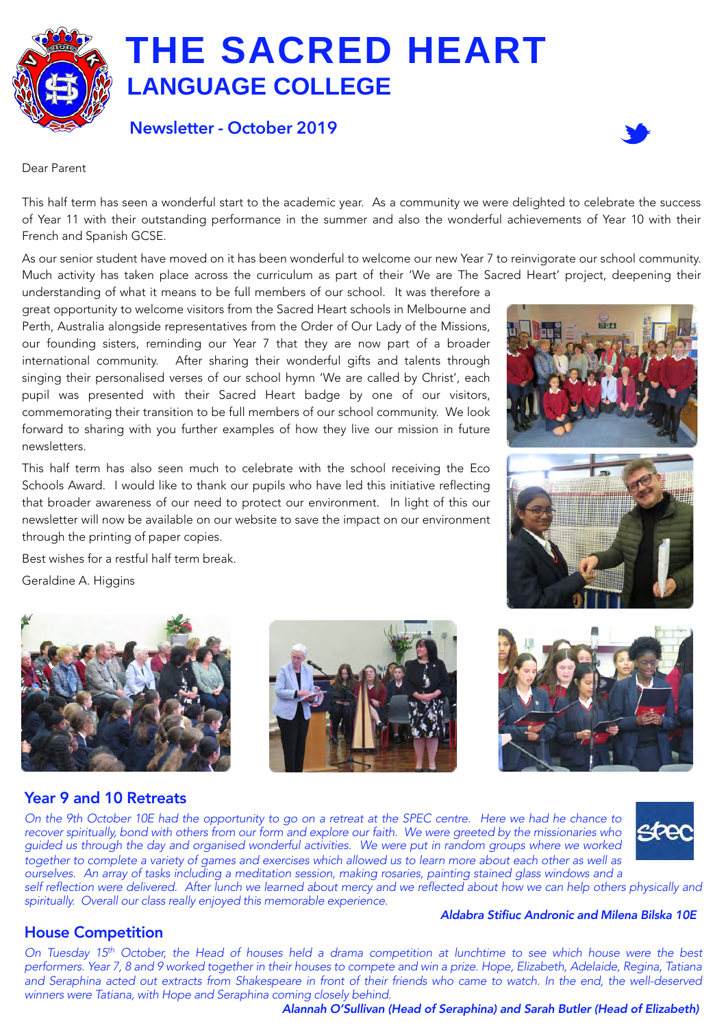**THE SACRED HEART LANGUAGE COLLEGE**

**Newsletter - October 2019**



#### Dear Parent

This half term has seen a wonderful start to the academic year. As a community we were delighted to celebrate the success of Year 11 with their outstanding performance in the summer and also the wonderful achievements of Year 10 with their French and Spanish GCSE.

As our senior student have moved on it has been wonderful to welcome our new Year 7 to reinvigorate our school community. Much activity has taken place across the curriculum as part of their 'We are The Sacred Heart' project, deepening their

understanding of what it means to be full members of our school. It was therefore a great opportunity to welcome visitors from the Sacred Heart schools in Melbourne and Perth, Australia alongside representatives from the Order of Our Lady of the Missions, our founding sisters, reminding our Year 7 that they are now part of a broader international community. After sharing their wonderful gifts and talents through singing their personalised verses of our school hymn 'We are called by Christ', each pupil was presented with their Sacred Heart badge by one of our visitors, commemorating their transition to be full members of our school community. We look forward to sharing with you further examples of how they live our mission in future newsletters.

This half term has also seen much to celebrate with the school receiving the Eco Schools Award. I would like to thank our pupils who have led this initiative reflecting that broader awareness of our need to protect our environment. In light of this our newsletter will now be available on our website to save the impact on our environment through the printing of paper copies.

Best wishes for a restful half term break.

Geraldine A. Higgins







#### Year 9 and 10 Retreats

*On the 9th October 10E had the opportunity to go on a retreat at the SPEC centre. Here we had he chance to recover spiritually, bond with others from our form and explore our faith. We were greeted by the missionaries who guided us through the day and organised wonderful activities. We were put in random groups where we worked together to complete a variety of games and exercises which allowed us to learn more about each other as well as ourselves. An array of tasks including a meditation session, making rosaries, painting stained glass windows and a* 



*self reflection were delivered. After lunch we learned about mercy and we reflected about how we can help others physically and spiritually. Overall our class really enjoyed this memorable experience. Aldabra Stifiuc Andronic and Milena Bilska 10E* 

### House Competition

*On Tuesday 15th October, the Head of houses held a drama competition at lunchtime to see which house were the best performers. Year 7, 8 and 9 worked together in their houses to compete and win a prize. Hope, Elizabeth, Adelaide, Regina, Tatiana*  and Seraphina acted out extracts from Shakespeare in front of their friends who came to watch. In the end, the well-deserved *winners were Tatiana, with Hope and Seraphina coming closely behind.* 

#### *Alannah O'Sullivan (Head of Seraphina) and Sarah Butler (Head of Elizabeth)*



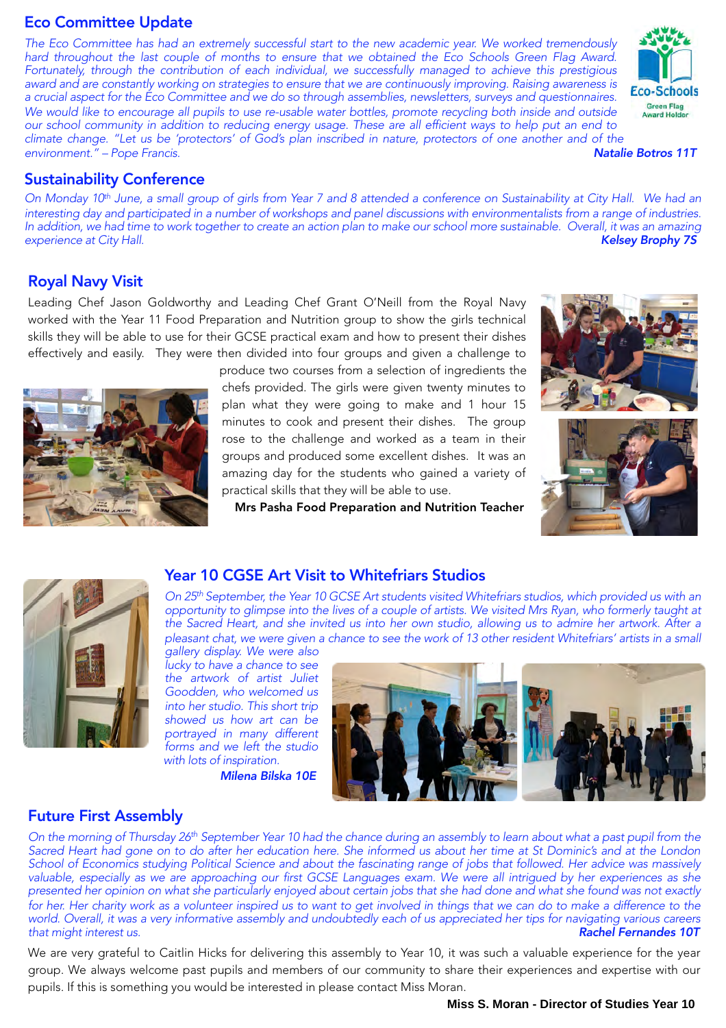# Eco Committee Update

*The Eco Committee has had an extremely successful start to the new academic year. We worked tremendously hard throughout the last couple of months to ensure that we obtained the Eco Schools Green Flag Award. Fortunately, through the contribution of each individual, we successfully managed to achieve this prestigious award and are constantly working on strategies to ensure that we are continuously improving. Raising awareness is a crucial aspect for the Eco Committee and we do so through assemblies, newsletters, surveys and questionnaires. We would like to encourage all pupils to use re-usable water bottles, promote recycling both inside and outside our school community in addition to reducing energy usage. These are all efficient ways to help put an end to climate change. "Let us be 'protectors' of God's plan inscribed in nature, protectors of one another and of the environment." – Pope Francis. Natalie Botros 11T*



# Sustainability Conference

*On Monday 10th June, a small group of girls from Year 7 and 8 attended a conference on Sustainability at City Hall. We had an interesting day and participated in a number of workshops and panel discussions with environmentalists from a range of industries. In addition, we had time to work together to create an action plan to make our school more sustainable. Overall, it was an amazing experience at City Hall. Kelsey Brophy 7S*

# Royal Navy Visit

Leading Chef Jason Goldworthy and Leading Chef Grant O'Neill from the Royal Navy worked with the Year 11 Food Preparation and Nutrition group to show the girls technical skills they will be able to use for their GCSE practical exam and how to present their dishes effectively and easily. They were then divided into four groups and given a challenge to



produce two courses from a selection of ingredients the chefs provided. The girls were given twenty minutes to plan what they were going to make and 1 hour 15 minutes to cook and present their dishes. The group rose to the challenge and worked as a team in their groups and produced some excellent dishes. It was an amazing day for the students who gained a variety of practical skills that they will be able to use.

Mrs Pasha Food Preparation and Nutrition Teacher







### Year 10 CGSE Art Visit to Whitefriars Studios

*On 25th September, the Year 10 GCSE Art students visited Whitefriars studios, which provided us with an opportunity to glimpse into the lives of a couple of artists. We visited Mrs Ryan, who formerly taught at the Sacred Heart, and she invited us into her own studio, allowing us to admire her artwork. After a pleasant chat, we were given a chance to see the work of 13 other resident Whitefriars' artists in a small* 

*gallery display. We were also lucky to have a chance to see the artwork of artist Juliet Goodden, who welcomed us into her studio. This short trip showed us how art can be portrayed in many different forms and we left the studio with lots of inspiration.* 

 *Milena Bilska 10E* 



### Future First Assembly

*On the morning of Thursday 26th September Year 10 had the chance during an assembly to learn about what a past pupil from the Sacred Heart had gone on to do after her education here. She informed us about her time at St Dominic's and at the London*  School of Economics studying Political Science and about the fascinating range of jobs that followed. Her advice was massively *valuable, especially as we are approaching our first GCSE Languages exam. We were all intrigued by her experiences as she presented her opinion on what she particularly enjoyed about certain jobs that she had done and what she found was not exactly*  for her. Her charity work as a volunteer inspired us to want to get involved in things that we can do to make a difference to the *world. Overall, it was a very informative assembly and undoubtedly each of us appreciated her tips for navigating various careers that might interest us.* 

We are very grateful to Caitlin Hicks for delivering this assembly to Year 10, it was such a valuable experience for the year group. We always welcome past pupils and members of our community to share their experiences and expertise with our pupils. If this is something you would be interested in please contact Miss Moran.

#### **Miss S. Moran - Director of Studies Year 10**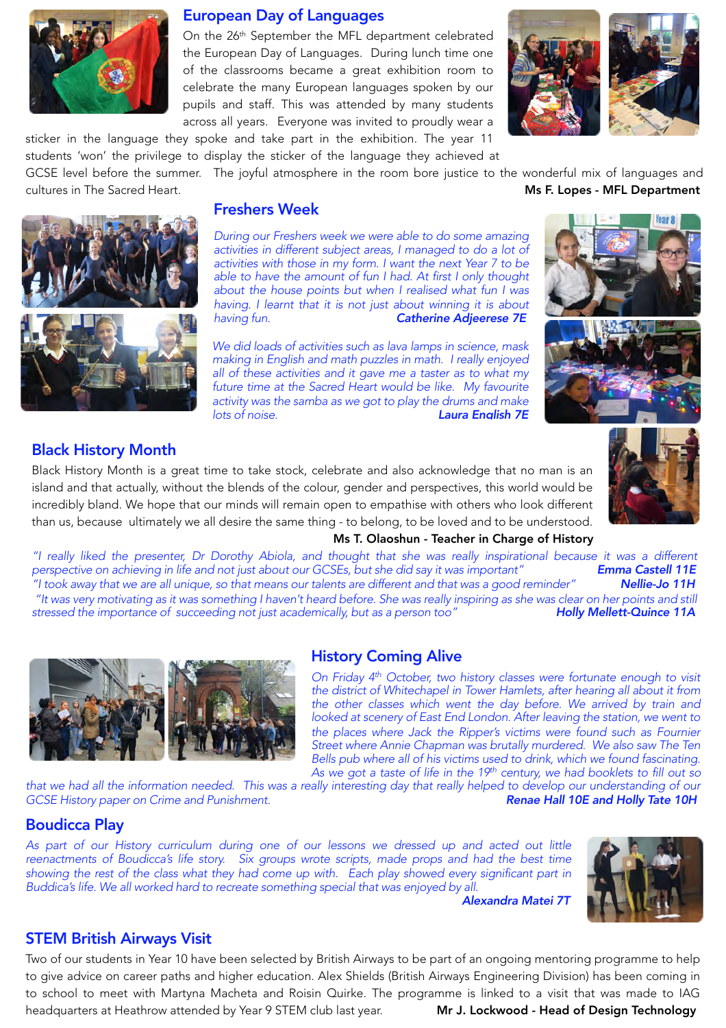

### European Day of Languages

On the 26th September the MFL department celebrated the European Day of Languages. During lunch time one of the classrooms became a great exhibition room to celebrate the many European languages spoken by our pupils and staff. This was attended by many students across all years. Everyone was invited to proudly wear a



GCSE level before the summer. The joyful atmosphere in the room bore justice to the wonderful mix of languages and cultures in The Sacred Heart. Ms F. Lopes - MFL Department



### Freshers Week

*During our Freshers week we were able to do some amazing*  activities in different subject areas. I managed to do a lot of *activities with those in my form. I want the next Year 7 to be able to have the amount of fun I had. At first I only thought about the house points but when I realised what fun I was having. I learnt that it is not just about winning it is about having fun. Catherine Adjeerese 7E* 

*We did loads of activities such as lava lamps in science, mask making in English and math puzzles in math. I really enjoyed all of these activities and it gave me a taster as to what my future time at the Sacred Heart would be like. My favourite activity was the samba as we got to play the drums and make lots of noise. Laura English 7E*



### Black History Month

Black History Month is a great time to take stock, celebrate and also acknowledge that no man is an island and that actually, without the blends of the colour, gender and perspectives, this world would be incredibly bland. We hope that our minds will remain open to empathise with others who look different than us, because ultimately we all desire the same thing - to belong, to be loved and to be understood.



Ms T. Olaoshun - Teacher in Charge of History

*"I really liked the presenter, Dr Dorothy Abiola, and thought that she was really inspirational because it was a different perspective on achieving in life and not just about our GCSEs, but she did say it was important" "I took away that we are all unique, so that means our talents are different and that was a good reminder" Nellie-Jo 11H "It was very motivating as it was something I haven't heard before. She was really inspiring as she was clear on her points and still stressed the importance of succeeding not just academically, but as a person too" Holly Mellett-Quince 11A* 



# History Coming Alive

*On Friday 4th October, two history classes were fortunate enough to visit the district of Whitechapel in Tower Hamlets, after hearing all about it from the other classes which went the day before. We arrived by train and looked at scenery of East End London. After leaving the station, we went to the places where Jack the Ripper's victims were found such as Fournier Street where Annie Chapman was brutally murdered. We also saw The Ten Bells pub where all of his victims used to drink, which we found fascinating. As we got a taste of life in the 19th century, we had booklets to fill out so* 

that we had all the information needed. This was a really interesting day that really helped to develop our understanding of our *GCSE History paper on Crime and Punishment. Renae Hall 10E and Holly Tate 10H Renae Hall 10E and Holly Tate 10H* 

#### Boudicca Play

As part of our History curriculum during one of our lessons we dressed up and acted out little *reenactments of Boudicca's life story. Six groups wrote scripts, made props and had the best time showing the rest of the class what they had come up with. Each play showed every significant part in Buddica's life. We all worked hard to recreate something special that was enjoyed by all. Alexandra Matei 7T* 



#### STEM British Airways Visit

Two of our students in Year 10 have been selected by British Airways to be part of an ongoing mentoring programme to help to give advice on career paths and higher education. Alex Shields (British Airways Engineering Division) has been coming in to school to meet with Martyna Macheta and Roisin Quirke. The programme is linked to a visit that was made to IAG headquarters at Heathrow attended by Year 9 STEM club last year. Mr J. Lockwood - Head of Design Technology